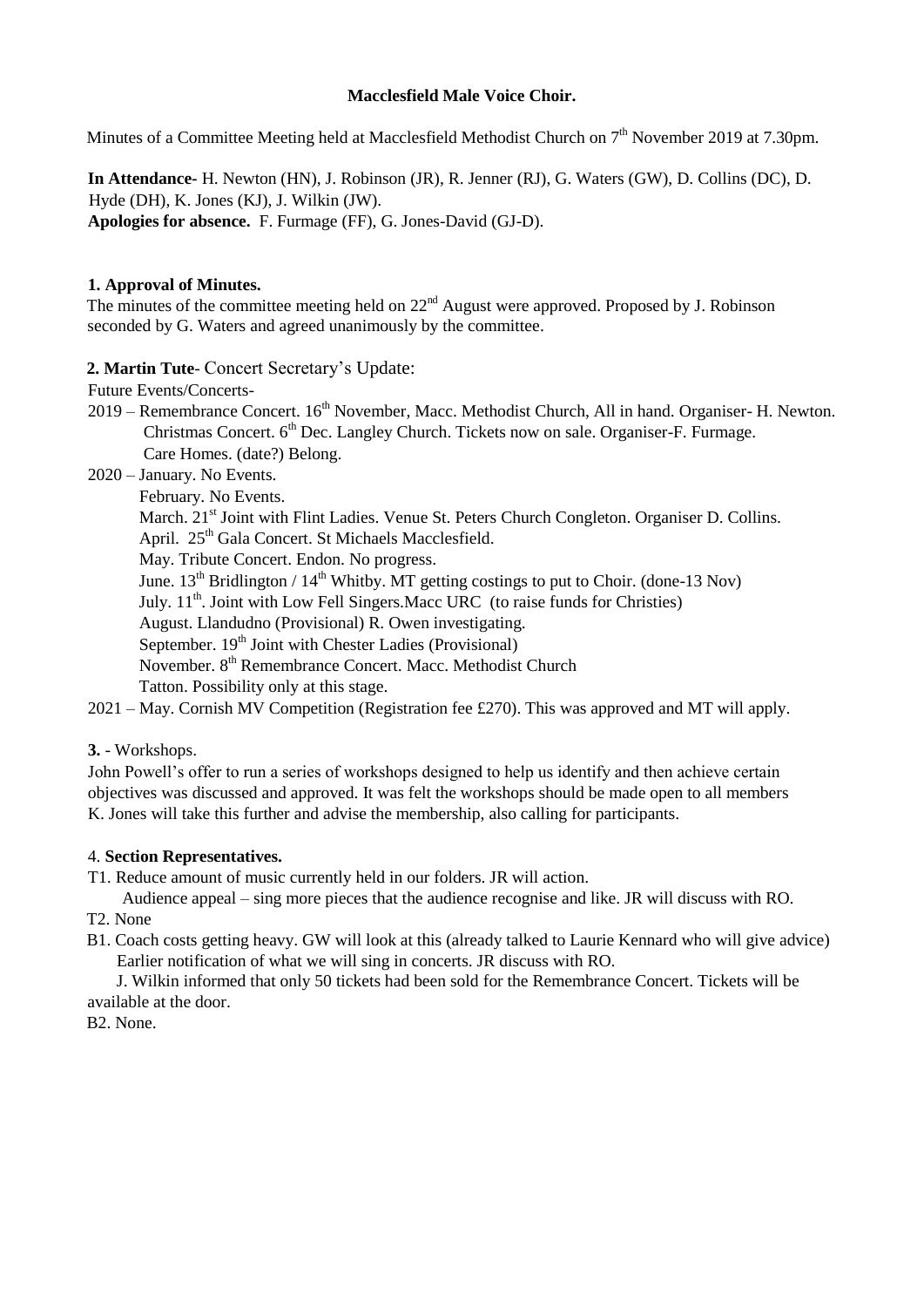## **Macclesfield Male Voice Choir.**

Minutes of a Committee Meeting held at Macclesfield Methodist Church on 7<sup>th</sup> November 2019 at 7.30pm.

**In Attendance-** H. Newton (HN), J. Robinson (JR), R. Jenner (RJ), G. Waters (GW), D. Collins (DC), D. Hyde (DH), K. Jones (KJ), J. Wilkin (JW). **Apologies for absence.** F. Furmage (FF), G. Jones-David (GJ-D).

## **1. Approval of Minutes.**

The minutes of the committee meeting held on  $22<sup>nd</sup>$  August were approved. Proposed by J. Robinson seconded by G. Waters and agreed unanimously by the committee.

## **2. Martin Tute**- Concert Secretary's Update:

Future Events/Concerts-

- 2019 Remembrance Concert. 16<sup>th</sup> November, Macc. Methodist Church, All in hand. Organiser- H. Newton. Christmas Concert. 6<sup>th</sup> Dec. Langley Church. Tickets now on sale. Organiser-F. Furmage. Care Homes. (date?) Belong.
- 2020 January. No Events.
	- February. No Events.

March. 21<sup>st</sup> Joint with Flint Ladies. Venue St. Peters Church Congleton. Organiser D. Collins.

April. 25<sup>th</sup> Gala Concert. St Michaels Macclesfield.

May. Tribute Concert. Endon. No progress.

June.  $13^{th}$  Bridlington /  $14^{th}$  Whitby. MT getting costings to put to Choir. (done-13 Nov)

July. 11<sup>th</sup>. Joint with Low Fell Singers. Macc URC (to raise funds for Christies)

August. Llandudno (Provisional) R. Owen investigating.

September. 19<sup>th</sup> Joint with Chester Ladies (Provisional)

November. 8<sup>th</sup> Remembrance Concert. Macc. Methodist Church

Tatton. Possibility only at this stage.

2021 – May. Cornish MV Competition (Registration fee £270). This was approved and MT will apply.

**3.** - Workshops.

John Powell's offer to run a series of workshops designed to help us identify and then achieve certain objectives was discussed and approved. It was felt the workshops should be made open to all members K. Jones will take this further and advise the membership, also calling for participants.

#### 4. **Section Representatives.**

T1. Reduce amount of music currently held in our folders. JR will action.

- Audience appeal sing more pieces that the audience recognise and like. JR will discuss with RO. T2. None
- B1. Coach costs getting heavy. GW will look at this (already talked to Laurie Kennard who will give advice) Earlier notification of what we will sing in concerts. JR discuss with RO.

 J. Wilkin informed that only 50 tickets had been sold for the Remembrance Concert. Tickets will be available at the door.

B2. None.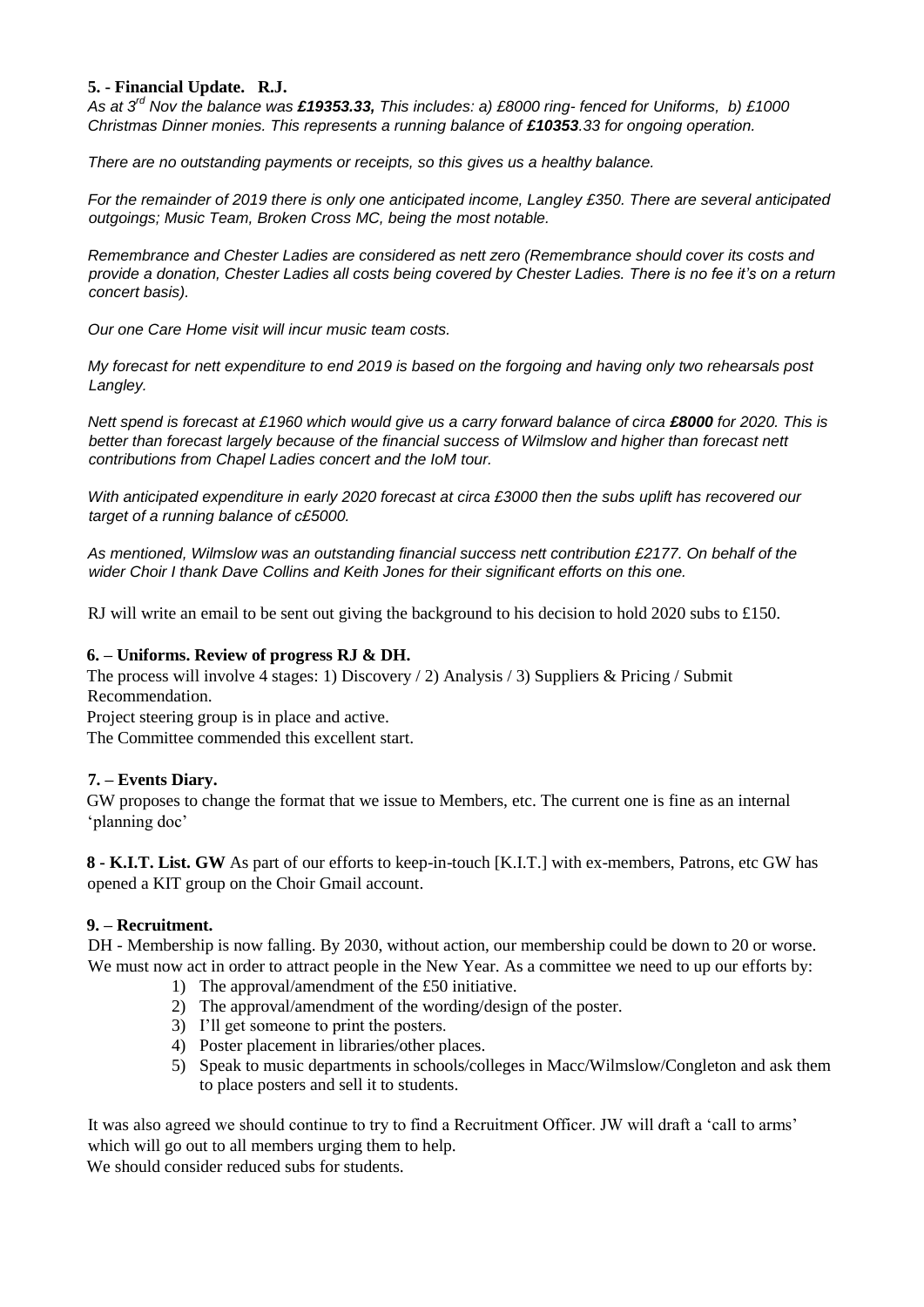## **5. - Financial Update. R.J.**

*As at 3rd Nov the balance was £19353.33, This includes: a) £8000 ring- fenced for Uniforms, b) £1000 Christmas Dinner monies. This represents a running balance of £10353.33 for ongoing operation.* 

*There are no outstanding payments or receipts, so this gives us a healthy balance.* 

*For the remainder of 2019 there is only one anticipated income, Langley £350. There are several anticipated outgoings; Music Team, Broken Cross MC, being the most notable.* 

*Remembrance and Chester Ladies are considered as nett zero (Remembrance should cover its costs and provide a donation, Chester Ladies all costs being covered by Chester Ladies. There is no fee it's on a return concert basis).* 

*Our one Care Home visit will incur music team costs.* 

*My forecast for nett expenditure to end 2019 is based on the forgoing and having only two rehearsals post Langley.* 

*Nett spend is forecast at £1960 which would give us a carry forward balance of circa £8000 for 2020. This is* better than forecast largely because of the financial success of Wilmslow and higher than forecast nett *contributions from Chapel Ladies concert and the IoM tour.*

*With anticipated expenditure in early 2020 forecast at circa £3000 then the subs uplift has recovered our target of a running balance of c£5000.*

*As mentioned, Wilmslow was an outstanding financial success nett contribution £2177. On behalf of the wider Choir I thank Dave Collins and Keith Jones for their significant efforts on this one.*

RJ will write an email to be sent out giving the background to his decision to hold 2020 subs to £150.

## **6. – Uniforms. Review of progress RJ & DH.**

The process will involve 4 stages: 1) Discovery / 2) Analysis / 3) Suppliers & Pricing / Submit Recommendation.

Project steering group is in place and active.

The Committee commended this excellent start.

# **7. – Events Diary.**

GW proposes to change the format that we issue to Members, etc. The current one is fine as an internal 'planning doc'

**8 - K.I.T. List. GW** As part of our efforts to keep-in-touch [K.I.T.] with ex-members, Patrons, etc GW has opened a KIT group on the Choir Gmail account.

#### **9. – Recruitment.**

DH - Membership is now falling. By 2030, without action, our membership could be down to 20 or worse. We must now act in order to attract people in the New Year. As a committee we need to up our efforts by:

- 1) The approval/amendment of the £50 initiative.
- 2) The approval/amendment of the wording/design of the poster.
- 3) I'll get someone to print the posters.
- 4) Poster placement in libraries/other places.
- 5) Speak to music departments in schools/colleges in Macc/Wilmslow/Congleton and ask them to place posters and sell it to students.

It was also agreed we should continue to try to find a Recruitment Officer. JW will draft a 'call to arms' which will go out to all members urging them to help.

We should consider reduced subs for students.